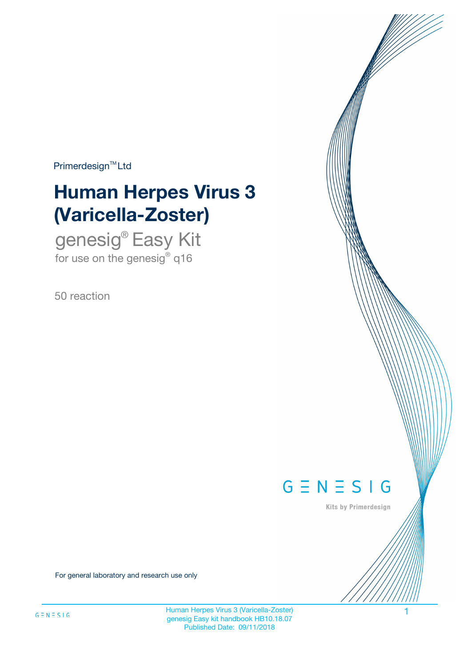$Primerdesign^{\text{TM}}Ltd$ 

# **Human Herpes Virus 3 (Varicella-Zoster)**

genesig® Easy Kit for use on the genesig $^{\circ}$  q16

50 reaction



Kits by Primerdesign

For general laboratory and research use only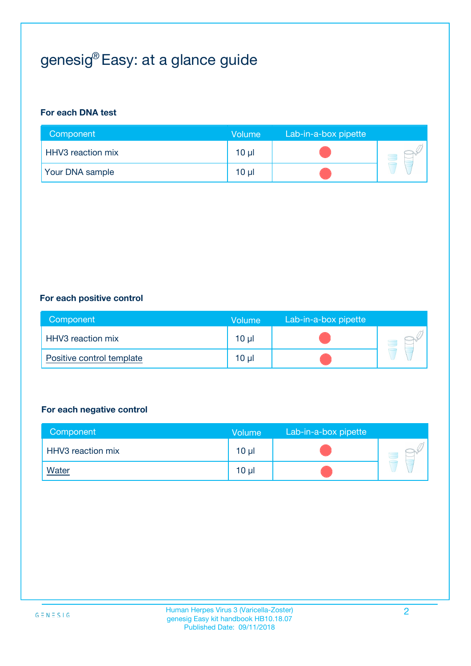## genesig® Easy: at a glance guide

#### **For each DNA test**

| Component                | <b>Volume</b>   | Lab-in-a-box pipette |  |
|--------------------------|-----------------|----------------------|--|
| <b>HHV3</b> reaction mix | 10 µl           |                      |  |
| <b>Your DNA sample</b>   | 10 <sub>µ</sub> |                      |  |

#### **For each positive control**

| Component                 | Volume          | Lab-in-a-box pipette |  |
|---------------------------|-----------------|----------------------|--|
| HHV3 reaction mix         | 10 <sub>µ</sub> |                      |  |
| Positive control template | 10 <sub>µ</sub> |                      |  |

#### **For each negative control**

| Component         | Volume          | Lab-in-a-box pipette |  |
|-------------------|-----------------|----------------------|--|
| HHV3 reaction mix | $10 \mu$        |                      |  |
| <u>Water</u>      | 10 <sub>µ</sub> |                      |  |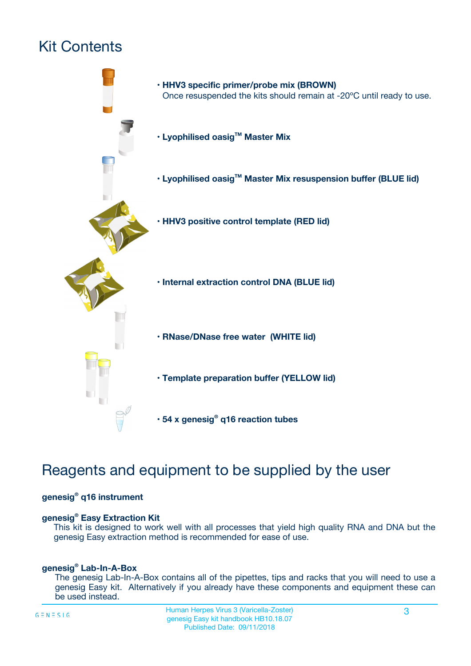## Kit Contents



### Reagents and equipment to be supplied by the user

#### **genesig® q16 instrument**

#### **genesig® Easy Extraction Kit**

This kit is designed to work well with all processes that yield high quality RNA and DNA but the genesig Easy extraction method is recommended for ease of use.

#### **genesig® Lab-In-A-Box**

The genesig Lab-In-A-Box contains all of the pipettes, tips and racks that you will need to use a genesig Easy kit. Alternatively if you already have these components and equipment these can be used instead.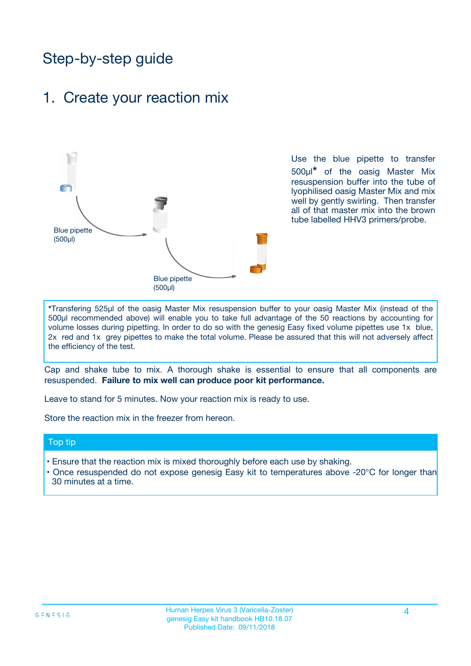### Step-by-step guide

### 1. Create your reaction mix



Use the blue pipette to transfer 500µl**\*** of the oasig Master Mix resuspension buffer into the tube of lyophilised oasig Master Mix and mix well by gently swirling. Then transfer all of that master mix into the brown tube labelled HHV3 primers/probe.

**\***Transfering 525µl of the oasig Master Mix resuspension buffer to your oasig Master Mix (instead of the 500µl recommended above) will enable you to take full advantage of the 50 reactions by accounting for volume losses during pipetting. In order to do so with the genesig Easy fixed volume pipettes use 1x blue, 2x red and 1x grey pipettes to make the total volume. Please be assured that this will not adversely affect the efficiency of the test.

Cap and shake tube to mix. A thorough shake is essential to ensure that all components are resuspended. **Failure to mix well can produce poor kit performance.**

Leave to stand for 5 minutes. Now your reaction mix is ready to use.

Store the reaction mix in the freezer from hereon.

#### Top tip

- Ensure that the reaction mix is mixed thoroughly before each use by shaking.
- **•** Once resuspended do not expose genesig Easy kit to temperatures above -20°C for longer than 30 minutes at a time.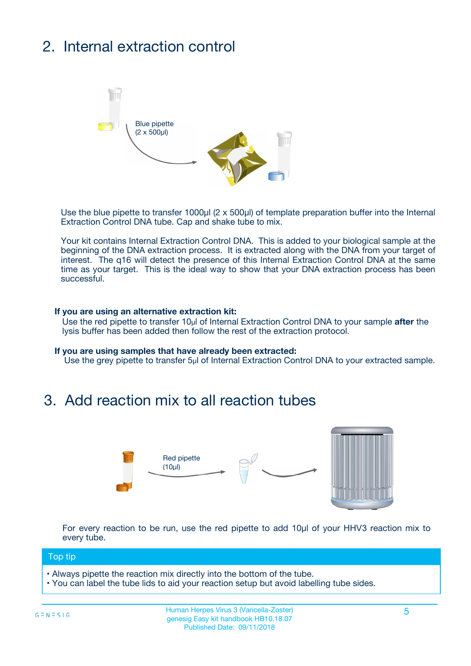## 2. Internal extraction control



Use the blue pipette to transfer 1000µl (2 x 500µl) of template preparation buffer into the Internal Extraction Control DNA tube. Cap and shake tube to mix.

Your kit contains Internal Extraction Control DNA. This is added to your biological sample at the beginning of the DNA extraction process. It is extracted along with the DNA from your target of interest. The q16 will detect the presence of this Internal Extraction Control DNA at the same time as your target. This is the ideal way to show that your DNA extraction process has been successful.

#### **If you are using an alternative extraction kit:**

Use the red pipette to transfer 10µl of Internal Extraction Control DNA to your sample **after** the lysis buffer has been added then follow the rest of the extraction protocol.

#### **If you are using samples that have already been extracted:**

Use the grey pipette to transfer 5µl of Internal Extraction Control DNA to your extracted sample.

### 3. Add reaction mix to all reaction tubes



For every reaction to be run, use the red pipette to add 10µl of your HHV3 reaction mix to every tube.

#### Top tip

- Always pipette the reaction mix directly into the bottom of the tube.
- You can label the tube lids to aid your reaction setup but avoid labelling tube sides.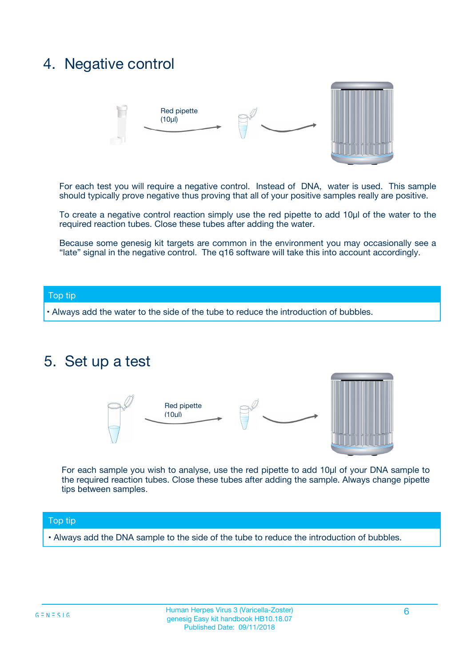### 4. Negative control



For each test you will require a negative control. Instead of DNA, water is used. This sample should typically prove negative thus proving that all of your positive samples really are positive.

To create a negative control reaction simply use the red pipette to add 10µl of the water to the required reaction tubes. Close these tubes after adding the water.

Because some genesig kit targets are common in the environment you may occasionally see a "late" signal in the negative control. The q16 software will take this into account accordingly.

#### Top tip

**•** Always add the water to the side of the tube to reduce the introduction of bubbles.

### 5. Set up a test



For each sample you wish to analyse, use the red pipette to add 10µl of your DNA sample to the required reaction tubes. Close these tubes after adding the sample. Always change pipette tips between samples.

#### Top tip

**•** Always add the DNA sample to the side of the tube to reduce the introduction of bubbles.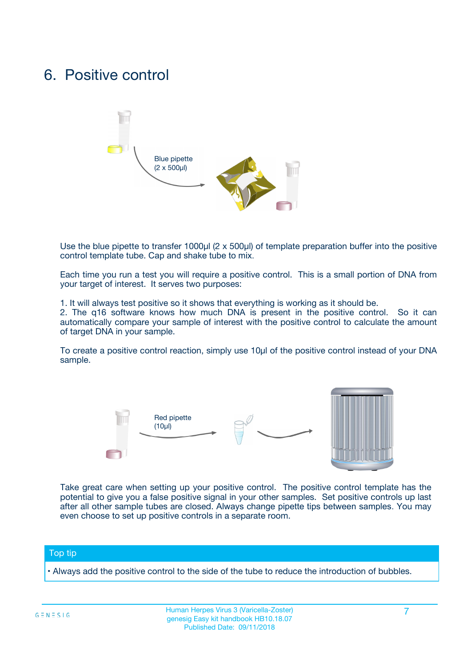### 6. Positive control



Use the blue pipette to transfer 1000µl (2 x 500µl) of template preparation buffer into the positive control template tube. Cap and shake tube to mix.

Each time you run a test you will require a positive control. This is a small portion of DNA from your target of interest. It serves two purposes:

1. It will always test positive so it shows that everything is working as it should be.

2. The q16 software knows how much DNA is present in the positive control. So it can automatically compare your sample of interest with the positive control to calculate the amount of target DNA in your sample.

To create a positive control reaction, simply use 10µl of the positive control instead of your DNA sample.



Take great care when setting up your positive control. The positive control template has the potential to give you a false positive signal in your other samples. Set positive controls up last after all other sample tubes are closed. Always change pipette tips between samples. You may even choose to set up positive controls in a separate room.

#### Top tip

**•** Always add the positive control to the side of the tube to reduce the introduction of bubbles.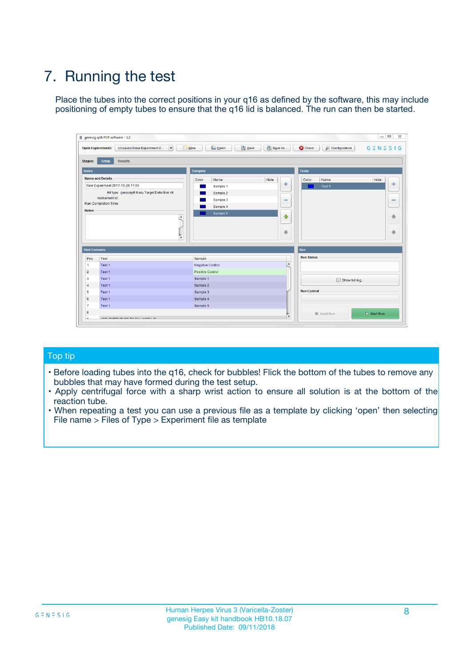## 7. Running the test

Place the tubes into the correct positions in your q16 as defined by the software, this may include positioning of empty tubes to ensure that the q16 lid is balanced. The run can then be started.

|                      | genesig q16 PCR software - 1.2                                               |                                |                              |                                          | $\begin{array}{c c c c} \hline \multicolumn{3}{c }{\textbf{0}} & \multicolumn{3}{c }{\textbf{0}} \end{array}$<br>$\Sigma\!3$ |
|----------------------|------------------------------------------------------------------------------|--------------------------------|------------------------------|------------------------------------------|------------------------------------------------------------------------------------------------------------------------------|
|                      | $\vert \cdot \vert$<br><b>Open Experiments:</b><br>Unsaved (New Experiment 2 | Open<br>Save<br>$\sqrt{9}$ New | Save As                      | <b>C</b> Close<br><b>X</b> Configuration | $G \equiv N \equiv S \mid G$                                                                                                 |
| <b>Stages:</b>       | Setup<br><b>Results</b>                                                      |                                |                              |                                          |                                                                                                                              |
| <b>Notes</b>         |                                                                              | <b>Samples</b>                 |                              | <b>Tests</b>                             |                                                                                                                              |
|                      | <b>Name and Details</b>                                                      | Color<br>Name                  | Note                         | Color<br>Name                            | Note                                                                                                                         |
|                      | New Experiment 2017-10-26 11:06                                              | Sample 1                       | ÷                            | Test 1                                   | ÷                                                                                                                            |
|                      | Kit type: genesig® Easy Target Detection kit                                 | Sample 2                       |                              |                                          |                                                                                                                              |
|                      | Instrument Id.:                                                              | Sample 3                       | $\qquad \qquad \blacksquare$ |                                          | $\qquad \qquad \blacksquare$                                                                                                 |
|                      | <b>Run Completion Time:</b>                                                  | Sample 4                       |                              |                                          |                                                                                                                              |
| <b>Notes</b>         | <b>A</b><br>v                                                                | Sample 5                       | $\triangle$<br>$\oplus$      |                                          | 4<br>₩                                                                                                                       |
| <b>Well Contents</b> |                                                                              |                                |                              | Run                                      |                                                                                                                              |
| Pos.                 | Test                                                                         | Sample                         |                              | <b>Run Status</b>                        |                                                                                                                              |
| $\overline{1}$       | Test 1                                                                       | <b>Negative Control</b>        | $\blacktriangle$             |                                          |                                                                                                                              |
| $\overline{2}$       | Test 1                                                                       | <b>Positive Control</b>        |                              |                                          |                                                                                                                              |
| 3                    | Test 1                                                                       | Sample 1                       |                              | Show full log                            |                                                                                                                              |
| $\overline{4}$       | Test 1                                                                       | Sample 2                       |                              |                                          |                                                                                                                              |
| 5                    | Test 1                                                                       | Sample 3                       |                              | <b>Run Control</b>                       |                                                                                                                              |
| 6                    | Test 1                                                                       | Sample 4                       |                              |                                          |                                                                                                                              |
| $\overline{7}$       | Test 1                                                                       | Sample 5                       |                              |                                          |                                                                                                                              |
| -8                   |                                                                              |                                |                              | Abort Run                                | $\triangleright$ Start Run                                                                                                   |
|                      | <b>JOB FURTY TURE TO BULLMAR LIB</b>                                         |                                | $\overline{\mathbf{v}}$      |                                          |                                                                                                                              |

#### Top tip

- Before loading tubes into the q16, check for bubbles! Flick the bottom of the tubes to remove any bubbles that may have formed during the test setup.
- Apply centrifugal force with a sharp wrist action to ensure all solution is at the bottom of the reaction tube.
- When repeating a test you can use a previous file as a template by clicking 'open' then selecting File name > Files of Type > Experiment file as template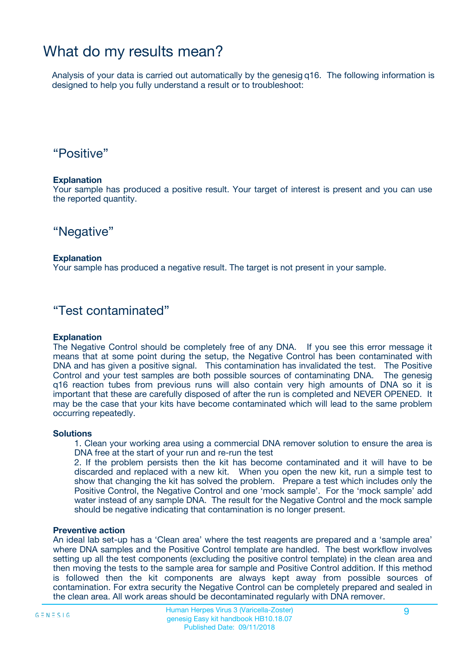### What do my results mean?

Analysis of your data is carried out automatically by the genesig q16. The following information is designed to help you fully understand a result or to troubleshoot:

### "Positive"

#### **Explanation**

Your sample has produced a positive result. Your target of interest is present and you can use the reported quantity.

"Negative"

#### **Explanation**

Your sample has produced a negative result. The target is not present in your sample.

### "Test contaminated"

#### **Explanation**

The Negative Control should be completely free of any DNA. If you see this error message it means that at some point during the setup, the Negative Control has been contaminated with DNA and has given a positive signal. This contamination has invalidated the test. The Positive Control and your test samples are both possible sources of contaminating DNA. The genesig q16 reaction tubes from previous runs will also contain very high amounts of DNA so it is important that these are carefully disposed of after the run is completed and NEVER OPENED. It may be the case that your kits have become contaminated which will lead to the same problem occurring repeatedly.

#### **Solutions**

1. Clean your working area using a commercial DNA remover solution to ensure the area is DNA free at the start of your run and re-run the test

2. If the problem persists then the kit has become contaminated and it will have to be discarded and replaced with a new kit. When you open the new kit, run a simple test to show that changing the kit has solved the problem. Prepare a test which includes only the Positive Control, the Negative Control and one 'mock sample'. For the 'mock sample' add water instead of any sample DNA. The result for the Negative Control and the mock sample should be negative indicating that contamination is no longer present.

#### **Preventive action**

An ideal lab set-up has a 'Clean area' where the test reagents are prepared and a 'sample area' where DNA samples and the Positive Control template are handled. The best workflow involves setting up all the test components (excluding the positive control template) in the clean area and then moving the tests to the sample area for sample and Positive Control addition. If this method is followed then the kit components are always kept away from possible sources of contamination. For extra security the Negative Control can be completely prepared and sealed in the clean area. All work areas should be decontaminated regularly with DNA remover.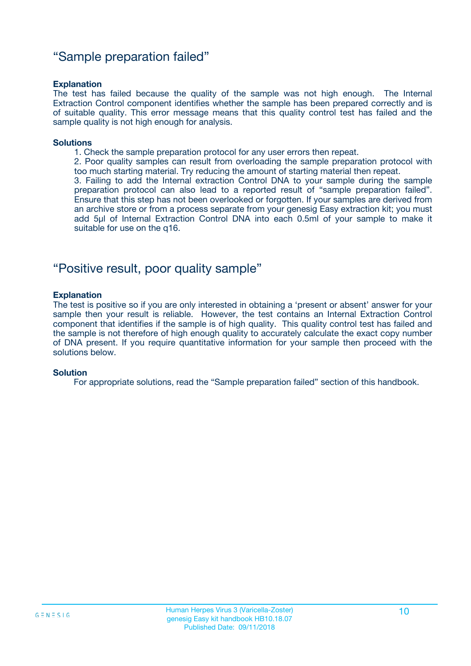### "Sample preparation failed"

#### **Explanation**

The test has failed because the quality of the sample was not high enough. The Internal Extraction Control component identifies whether the sample has been prepared correctly and is of suitable quality. This error message means that this quality control test has failed and the sample quality is not high enough for analysis.

#### **Solutions**

- 1. Check the sample preparation protocol for any user errors then repeat.
- 2. Poor quality samples can result from overloading the sample preparation protocol with too much starting material. Try reducing the amount of starting material then repeat.

3. Failing to add the Internal extraction Control DNA to your sample during the sample preparation protocol can also lead to a reported result of "sample preparation failed". Ensure that this step has not been overlooked or forgotten. If your samples are derived from an archive store or from a process separate from your genesig Easy extraction kit; you must add 5µl of Internal Extraction Control DNA into each 0.5ml of your sample to make it suitable for use on the q16.

### "Positive result, poor quality sample"

#### **Explanation**

The test is positive so if you are only interested in obtaining a 'present or absent' answer for your sample then your result is reliable. However, the test contains an Internal Extraction Control component that identifies if the sample is of high quality. This quality control test has failed and the sample is not therefore of high enough quality to accurately calculate the exact copy number of DNA present. If you require quantitative information for your sample then proceed with the solutions below.

#### **Solution**

For appropriate solutions, read the "Sample preparation failed" section of this handbook.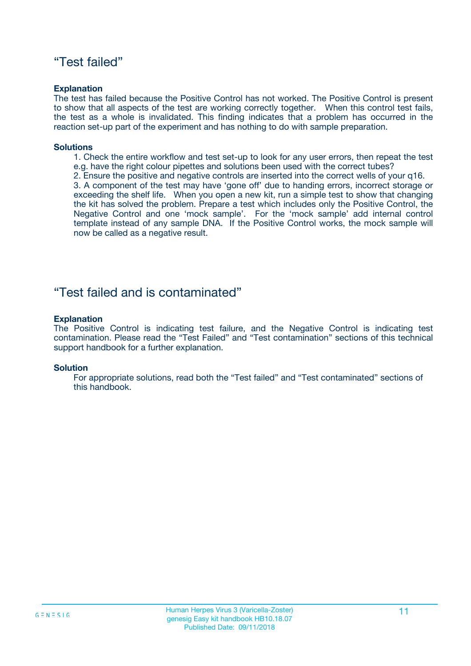### "Test failed"

#### **Explanation**

The test has failed because the Positive Control has not worked. The Positive Control is present to show that all aspects of the test are working correctly together. When this control test fails, the test as a whole is invalidated. This finding indicates that a problem has occurred in the reaction set-up part of the experiment and has nothing to do with sample preparation.

#### **Solutions**

- 1. Check the entire workflow and test set-up to look for any user errors, then repeat the test e.g. have the right colour pipettes and solutions been used with the correct tubes?
- 2. Ensure the positive and negative controls are inserted into the correct wells of your q16.

3. A component of the test may have 'gone off' due to handing errors, incorrect storage or exceeding the shelf life. When you open a new kit, run a simple test to show that changing the kit has solved the problem. Prepare a test which includes only the Positive Control, the Negative Control and one 'mock sample'. For the 'mock sample' add internal control template instead of any sample DNA. If the Positive Control works, the mock sample will now be called as a negative result.

### "Test failed and is contaminated"

#### **Explanation**

The Positive Control is indicating test failure, and the Negative Control is indicating test contamination. Please read the "Test Failed" and "Test contamination" sections of this technical support handbook for a further explanation.

#### **Solution**

For appropriate solutions, read both the "Test failed" and "Test contaminated" sections of this handbook.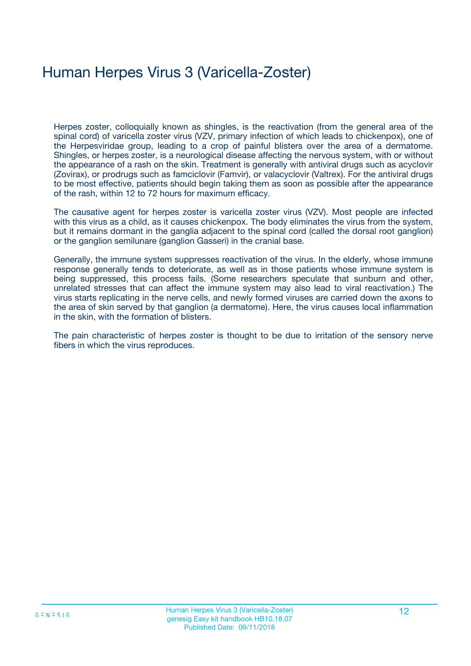## Human Herpes Virus 3 (Varicella-Zoster)

Herpes zoster, colloquially known as shingles, is the reactivation (from the general area of the spinal cord) of varicella zoster virus (VZV, primary infection of which leads to chickenpox), one of the Herpesviridae group, leading to a crop of painful blisters over the area of a dermatome. Shingles, or herpes zoster, is a neurological disease affecting the nervous system, with or without the appearance of a rash on the skin. Treatment is generally with antiviral drugs such as acyclovir (Zovirax), or prodrugs such as famciclovir (Famvir), or valacyclovir (Valtrex). For the antiviral drugs to be most effective, patients should begin taking them as soon as possible after the appearance of the rash, within 12 to 72 hours for maximum efficacy.

The causative agent for herpes zoster is varicella zoster virus (VZV). Most people are infected with this virus as a child, as it causes chickenpox. The body eliminates the virus from the system, but it remains dormant in the ganglia adjacent to the spinal cord (called the dorsal root ganglion) or the ganglion semilunare (ganglion Gasseri) in the cranial base.

Generally, the immune system suppresses reactivation of the virus. In the elderly, whose immune response generally tends to deteriorate, as well as in those patients whose immune system is being suppressed, this process fails. (Some researchers speculate that sunburn and other, unrelated stresses that can affect the immune system may also lead to viral reactivation.) The virus starts replicating in the nerve cells, and newly formed viruses are carried down the axons to the area of skin served by that ganglion (a dermatome). Here, the virus causes local inflammation in the skin, with the formation of blisters.

The pain characteristic of herpes zoster is thought to be due to irritation of the sensory nerve fibers in which the virus reproduces.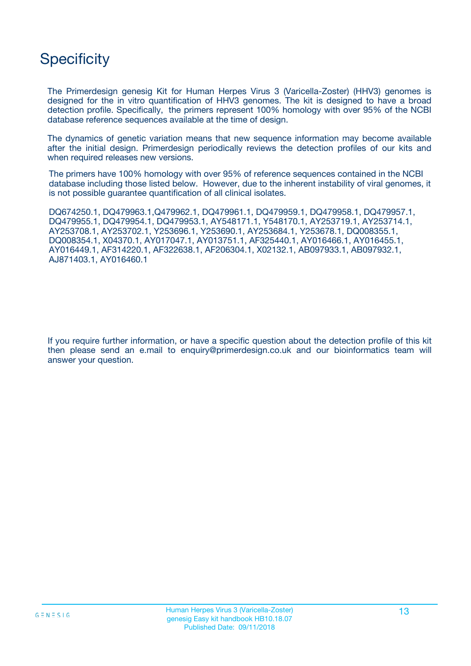### **Specificity**

The Primerdesign genesig Kit for Human Herpes Virus 3 (Varicella-Zoster) (HHV3) genomes is designed for the in vitro quantification of HHV3 genomes. The kit is designed to have a broad detection profile. Specifically, the primers represent 100% homology with over 95% of the NCBI database reference sequences available at the time of design.

The dynamics of genetic variation means that new sequence information may become available after the initial design. Primerdesign periodically reviews the detection profiles of our kits and when required releases new versions.

The primers have 100% homology with over 95% of reference sequences contained in the NCBI database including those listed below. However, due to the inherent instability of viral genomes, it is not possible guarantee quantification of all clinical isolates.

DQ674250.1, DQ479963.1,Q479962.1, DQ479961.1, DQ479959.1, DQ479958.1, DQ479957.1, DQ479955.1, DQ479954.1, DQ479953.1, AY548171.1, Y548170.1, AY253719.1, AY253714.1, AY253708.1, AY253702.1, Y253696.1, Y253690.1, AY253684.1, Y253678.1, DQ008355.1, DQ008354.1, X04370.1, AY017047.1, AY013751.1, AF325440.1, AY016466.1, AY016455.1, AY016449.1, AF314220.1, AF322638.1, AF206304.1, X02132.1, AB097933.1, AB097932.1, AJ871403.1, AY016460.1

If you require further information, or have a specific question about the detection profile of this kit then please send an e.mail to enquiry@primerdesign.co.uk and our bioinformatics team will answer your question.